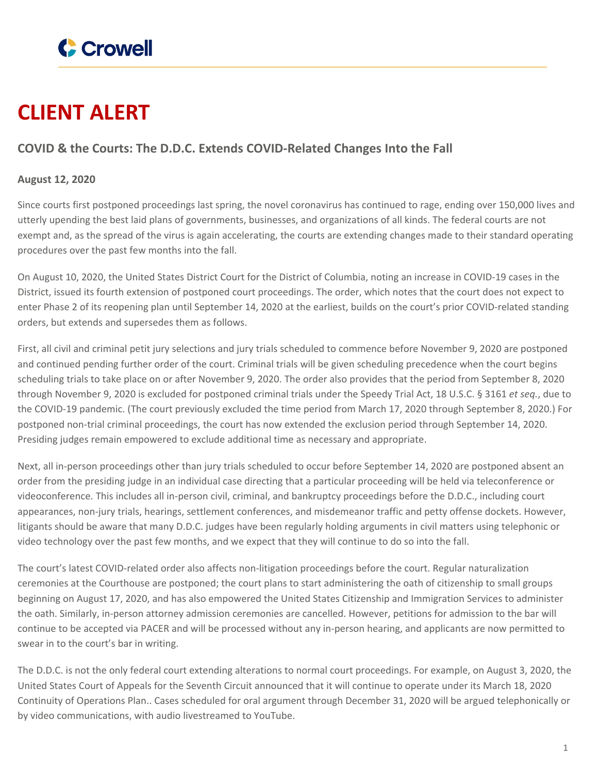

## **CLIENT ALERT**

## **COVID & the Courts: The D.D.C. Extends COVID-Related Changes Into the Fall**

## **August 12, 2020**

Since courts first postponed proceedings last spring, the novel coronavirus has continued to rage, ending over 150,000 lives and utterly upending the best laid plans of governments, businesses, and organizations of all kinds. The federal courts are not exempt and, as the spread of the virus is again accelerating, the courts are extending changes made to their standard operating procedures over the past few months into the fall.

On August 10, 2020, the United States District Court for the District of Columbia, noting an increase in COVID-19 cases in the District, issued its fourth extension of postponed court proceedings. The order, which notes that the court does not expect to enter Phase 2 of its reopening plan until September 14, 2020 at the earliest, builds on the court's prior COVID-related standing orders, but extends and supersedes them as follows.

First, all civil and criminal petit jury selections and jury trials scheduled to commence before November 9, 2020 are postponed and continued pending further order of the court. Criminal trials will be given scheduling precedence when the court begins scheduling trials to take place on or after November 9, 2020. The order also provides that the period from September 8, 2020 through November 9, 2020 is excluded for postponed criminal trials under the Speedy Trial Act, 18 U.S.C. § 3161 *et seq.*, due to the COVID-19 pandemic. (The court previously excluded the time period from March 17, 2020 through September 8, 2020.) For postponed non-trial criminal proceedings, the court has now extended the exclusion period through September 14, 2020. Presiding judges remain empowered to exclude additional time as necessary and appropriate.

Next, all in-person proceedings other than jury trials scheduled to occur before September 14, 2020 are postponed absent an order from the presiding judge in an individual case directing that a particular proceeding will be held via teleconference or videoconference. This includes all in-person civil, criminal, and bankruptcy proceedings before the D.D.C., including court appearances, non-jury trials, hearings, settlement conferences, and misdemeanor traffic and petty offense dockets. However, litigants should be aware that many D.D.C. judges have been regularly holding arguments in civil matters using telephonic or video technology over the past few months, and we expect that they will continue to do so into the fall.

The court's latest COVID-related order also affects non-litigation proceedings before the court. Regular naturalization ceremonies at the Courthouse are postponed; the court plans to start administering the oath of citizenship to small groups beginning on August 17, 2020, and has also empowered the United States Citizenship and Immigration Services to administer the oath. Similarly, in-person attorney admission ceremonies are cancelled. However, petitions for admission to the bar will continue to be accepted via PACER and will be processed without any in-person hearing, and applicants are now permitted to swear in to the court's bar in writing.

The D.D.C. is not the only federal court extending alterations to normal court proceedings. For example, on August 3, 2020, the United States Court of Appeals for the Seventh Circuit announced that it will continue to operate under its March 18, 2020 Continuity of Operations Plan.. Cases scheduled for oral argument through December 31, 2020 will be argued telephonically or by video communications, with audio livestreamed to YouTube.